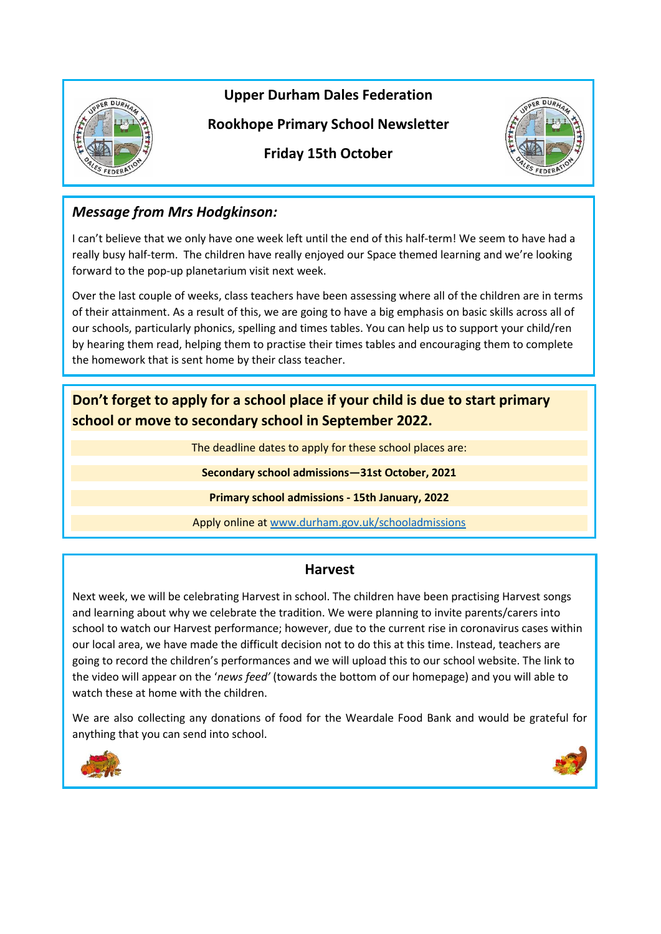

**Upper Durham Dales Federation**

**Rookhope Primary School Newsletter**



**Friday 15th October**

# *Message from Mrs Hodgkinson:*

I can't believe that we only have one week left until the end of this half-term! We seem to have had a really busy half-term. The children have really enjoyed our Space themed learning and we're looking forward to the pop-up planetarium visit next week.

Over the last couple of weeks, class teachers have been assessing where all of the children are in terms of their attainment. As a result of this, we are going to have a big emphasis on basic skills across all of our schools, particularly phonics, spelling and times tables. You can help us to support your child/ren by hearing them read, helping them to practise their times tables and encouraging them to complete the homework that is sent home by their class teacher.

**Don't forget to apply for a school place if your child is due to start primary school or move to secondary school in September 2022.**

The deadline dates to apply for these school places are:

**Secondary school admissions—31st October, 2021**

**Primary school admissions - 15th January, 2022**

Apply online at [www.durham.gov.uk/schooladmissions](http://www.durham.gov.uk/schooladmissions)

## **Harvest**

Next week, we will be celebrating Harvest in school. The children have been practising Harvest songs and learning about why we celebrate the tradition. We were planning to invite parents/carers into school to watch our Harvest performance; however, due to the current rise in coronavirus cases within our local area, we have made the difficult decision not to do this at this time. Instead, teachers are going to record the children's performances and we will upload this to our school website. The link to the video will appear on the '*news feed'* (towards the bottom of our homepage) and you will able to watch these at home with the children.

We are also collecting any donations of food for the Weardale Food Bank and would be grateful for anything that you can send into school.